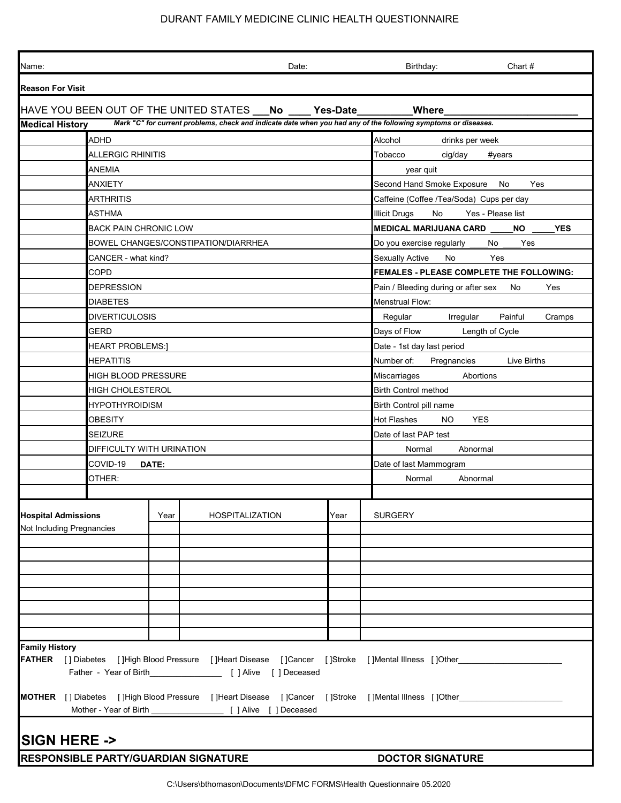## DURANT FAMILY MEDICINE CLINIC HEALTH QUESTIONNAIRE

| Name:                                                                                                                                    |                                      |       | Date:                                                                         |                                                    | Birthday:<br>Chart #                                                                                           |  |  |  |
|------------------------------------------------------------------------------------------------------------------------------------------|--------------------------------------|-------|-------------------------------------------------------------------------------|----------------------------------------------------|----------------------------------------------------------------------------------------------------------------|--|--|--|
| <b>Reason For Visit</b>                                                                                                                  |                                      |       |                                                                               |                                                    |                                                                                                                |  |  |  |
| HAVE YOU BEEN OUT OF THE UNITED STATES ___No _____ Yes-Date_________<br>Where                                                            |                                      |       |                                                                               |                                                    |                                                                                                                |  |  |  |
| Mark "C" for current problems, check and indicate date when you had any of the following symptoms or diseases.<br><b>Medical History</b> |                                      |       |                                                                               |                                                    |                                                                                                                |  |  |  |
|                                                                                                                                          | <b>ADHD</b>                          |       |                                                                               |                                                    | Alcohol<br>drinks per week                                                                                     |  |  |  |
|                                                                                                                                          | <b>ALLERGIC RHINITIS</b>             |       |                                                                               |                                                    | Tobacco<br>cig/day<br>#years                                                                                   |  |  |  |
|                                                                                                                                          | ANEMIA                               |       |                                                                               |                                                    | year quit                                                                                                      |  |  |  |
|                                                                                                                                          | <b>ANXIETY</b>                       |       |                                                                               |                                                    | Second Hand Smoke Exposure<br>No<br>Yes                                                                        |  |  |  |
|                                                                                                                                          | ARTHRITIS                            |       |                                                                               | Caffeine (Coffee /Tea/Soda) Cups per day           |                                                                                                                |  |  |  |
|                                                                                                                                          | ASTHMA                               |       |                                                                               | <b>Illicit Drugs</b><br>No<br>Yes - Please list    |                                                                                                                |  |  |  |
|                                                                                                                                          | <b>BACK PAIN CHRONIC LOW</b>         |       |                                                                               | <b>MEDICAL MARIJUANA CARD</b><br><b>YES</b><br>NO. |                                                                                                                |  |  |  |
|                                                                                                                                          |                                      |       | BOWEL CHANGES/CONSTIPATION/DIARRHEA                                           |                                                    | Do you exercise regularly __<br>Yes<br>No                                                                      |  |  |  |
|                                                                                                                                          | CANCER - what kind?                  |       |                                                                               |                                                    | <b>Sexually Active</b><br>Yes<br>No                                                                            |  |  |  |
|                                                                                                                                          | <b>COPD</b>                          |       |                                                                               |                                                    | FEMALES - PLEASE COMPLETE THE FOLLOWING:                                                                       |  |  |  |
|                                                                                                                                          | <b>DEPRESSION</b>                    |       |                                                                               |                                                    | Pain / Bleeding during or after sex<br>No<br>Yes                                                               |  |  |  |
|                                                                                                                                          | <b>DIABETES</b>                      |       |                                                                               |                                                    | Menstrual Flow:                                                                                                |  |  |  |
|                                                                                                                                          | <b>DIVERTICULOSIS</b>                |       |                                                                               |                                                    | Painful                                                                                                        |  |  |  |
|                                                                                                                                          |                                      |       |                                                                               |                                                    | Regular<br>Irregular<br>Cramps                                                                                 |  |  |  |
|                                                                                                                                          | <b>GERD</b>                          |       |                                                                               |                                                    | Days of Flow<br>Length of Cycle                                                                                |  |  |  |
|                                                                                                                                          | <b>HEART PROBLEMS:]</b>              |       |                                                                               |                                                    | Date - 1st day last period                                                                                     |  |  |  |
|                                                                                                                                          | <b>HEPATITIS</b>                     |       |                                                                               |                                                    | Number of:<br>Pregnancies<br>Live Births                                                                       |  |  |  |
|                                                                                                                                          | HIGH BLOOD PRESSURE                  |       |                                                                               |                                                    | Miscarriages<br>Abortions                                                                                      |  |  |  |
|                                                                                                                                          | <b>HIGH CHOLESTEROL</b>              |       |                                                                               |                                                    | <b>Birth Control method</b>                                                                                    |  |  |  |
|                                                                                                                                          | <b>HYPOTHYROIDISM</b>                |       |                                                                               |                                                    | Birth Control pill name                                                                                        |  |  |  |
|                                                                                                                                          | <b>OBESITY</b>                       |       |                                                                               |                                                    | <b>Hot Flashes</b><br>NO.<br><b>YES</b>                                                                        |  |  |  |
|                                                                                                                                          | <b>SEIZURE</b>                       |       |                                                                               | Date of last PAP test                              |                                                                                                                |  |  |  |
|                                                                                                                                          | <b>DIFFICULTY WITH URINATION</b>     |       |                                                                               |                                                    | Normal<br>Abnormal                                                                                             |  |  |  |
|                                                                                                                                          | COVID-19                             | DATE: |                                                                               |                                                    | Date of last Mammogram                                                                                         |  |  |  |
|                                                                                                                                          | OTHER:                               |       |                                                                               |                                                    | Normal<br>Abnormal                                                                                             |  |  |  |
|                                                                                                                                          |                                      |       |                                                                               |                                                    |                                                                                                                |  |  |  |
| <b>Hospital Admissions</b>                                                                                                               |                                      | Year  | <b>HOSPITALIZATION</b>                                                        | Year                                               | <b>SURGERY</b>                                                                                                 |  |  |  |
| Not Including Pregnancies                                                                                                                |                                      |       |                                                                               |                                                    |                                                                                                                |  |  |  |
|                                                                                                                                          |                                      |       |                                                                               |                                                    |                                                                                                                |  |  |  |
|                                                                                                                                          |                                      |       |                                                                               |                                                    |                                                                                                                |  |  |  |
|                                                                                                                                          |                                      |       |                                                                               |                                                    |                                                                                                                |  |  |  |
|                                                                                                                                          |                                      |       |                                                                               |                                                    |                                                                                                                |  |  |  |
|                                                                                                                                          |                                      |       |                                                                               |                                                    |                                                                                                                |  |  |  |
|                                                                                                                                          |                                      |       |                                                                               |                                                    |                                                                                                                |  |  |  |
|                                                                                                                                          |                                      |       |                                                                               |                                                    |                                                                                                                |  |  |  |
|                                                                                                                                          |                                      |       |                                                                               |                                                    |                                                                                                                |  |  |  |
| <b>Family History</b>                                                                                                                    |                                      |       |                                                                               |                                                    | FATHER [] Diabetes []High Blood Pressure []Heart Disease []Cancer []Stroke []Mental Illness []Other___________ |  |  |  |
|                                                                                                                                          |                                      |       |                                                                               |                                                    |                                                                                                                |  |  |  |
| <b>MOTHER</b>                                                                                                                            | Mother - Year of Birth               |       | [] Diabetes [] High Blood Pressure [] Heart Disease<br>[ ] Alive [ ] Deceased |                                                    | []Cancer []Stroke []Mental Illness []Other_                                                                    |  |  |  |
| <b>SIGN HERE -&gt;</b>                                                                                                                   |                                      |       |                                                                               |                                                    |                                                                                                                |  |  |  |
|                                                                                                                                          |                                      |       |                                                                               |                                                    |                                                                                                                |  |  |  |
|                                                                                                                                          | RESPONSIBLE PARTY/GUARDIAN SIGNATURE |       |                                                                               |                                                    | <b>DOCTOR SIGNATURE</b>                                                                                        |  |  |  |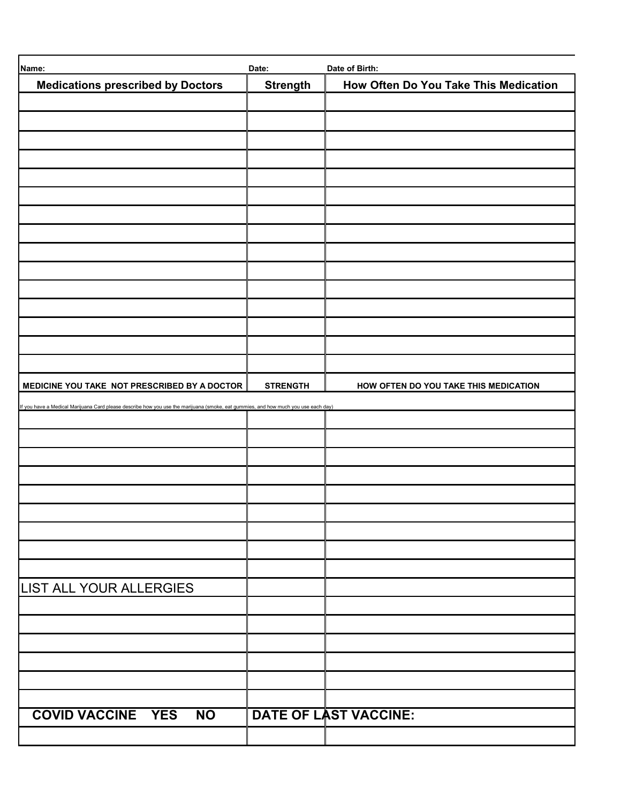| Name:                                                                                                                              | Date:           | Date of Birth:                        |
|------------------------------------------------------------------------------------------------------------------------------------|-----------------|---------------------------------------|
| <b>Medications prescribed by Doctors</b>                                                                                           | <b>Strength</b> | How Often Do You Take This Medication |
|                                                                                                                                    |                 |                                       |
|                                                                                                                                    |                 |                                       |
|                                                                                                                                    |                 |                                       |
|                                                                                                                                    |                 |                                       |
|                                                                                                                                    |                 |                                       |
|                                                                                                                                    |                 |                                       |
|                                                                                                                                    |                 |                                       |
|                                                                                                                                    |                 |                                       |
|                                                                                                                                    |                 |                                       |
|                                                                                                                                    |                 |                                       |
|                                                                                                                                    |                 |                                       |
|                                                                                                                                    |                 |                                       |
|                                                                                                                                    |                 |                                       |
|                                                                                                                                    |                 |                                       |
|                                                                                                                                    |                 |                                       |
|                                                                                                                                    |                 |                                       |
|                                                                                                                                    |                 |                                       |
| MEDICINE YOU TAKE NOT PRESCRIBED BY A DOCTOR                                                                                       | <b>STRENGTH</b> | HOW OFTEN DO YOU TAKE THIS MEDICATION |
| If you have a Medical Marijuana Card please describe how you use the marijuana (smoke, eat gummies, and how much you use each day) |                 |                                       |
|                                                                                                                                    |                 |                                       |
|                                                                                                                                    |                 |                                       |
|                                                                                                                                    |                 |                                       |
|                                                                                                                                    |                 |                                       |
|                                                                                                                                    |                 |                                       |
|                                                                                                                                    |                 |                                       |
|                                                                                                                                    |                 |                                       |
|                                                                                                                                    |                 |                                       |
|                                                                                                                                    |                 |                                       |
| LIST ALL YOUR ALLERGIES                                                                                                            |                 |                                       |
|                                                                                                                                    |                 |                                       |
|                                                                                                                                    |                 |                                       |
|                                                                                                                                    |                 |                                       |
|                                                                                                                                    |                 |                                       |
|                                                                                                                                    |                 |                                       |
|                                                                                                                                    |                 |                                       |
| <b>COVID VACCINE YES</b><br><b>NO</b>                                                                                              |                 | <b>DATE OF LAST VACCINE:</b>          |
|                                                                                                                                    |                 |                                       |
|                                                                                                                                    |                 |                                       |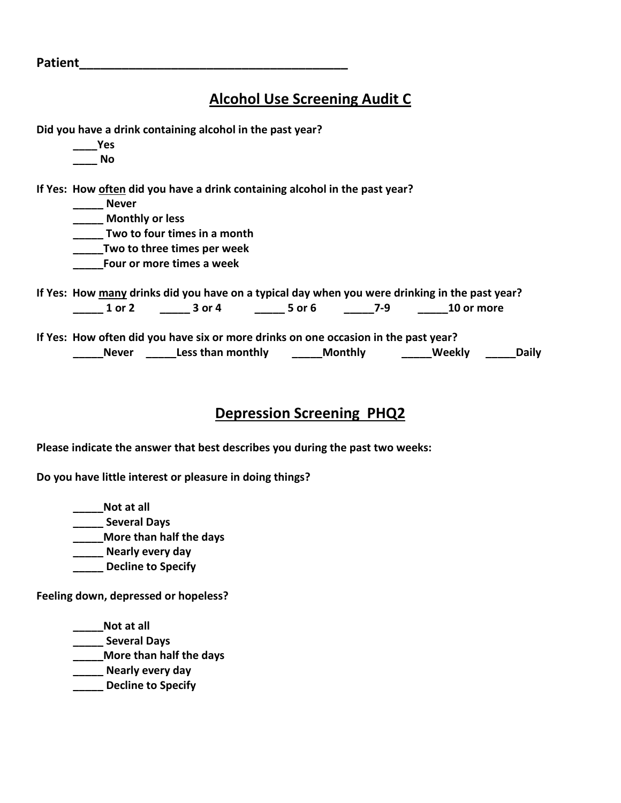**Patient\_\_\_\_\_\_\_\_\_\_\_\_\_\_\_\_\_\_\_\_\_\_\_\_\_\_\_\_\_\_\_\_\_\_\_\_\_\_**

**\_\_\_\_Yes**

## **Alcohol Use Screening Audit C**

| Nο                                                                                             |                              |                |     |            |              |
|------------------------------------------------------------------------------------------------|------------------------------|----------------|-----|------------|--------------|
| If Yes: How often did you have a drink containing alcohol in the past year?                    |                              |                |     |            |              |
| <b>Never</b>                                                                                   |                              |                |     |            |              |
| <b>Monthly or less</b>                                                                         |                              |                |     |            |              |
|                                                                                                | Two to four times in a month |                |     |            |              |
|                                                                                                | Two to three times per week  |                |     |            |              |
|                                                                                                | Four or more times a week    |                |     |            |              |
| If Yes: How many drinks did you have on a typical day when you were drinking in the past year? |                              |                |     |            |              |
| 1 or 2                                                                                         | 3 or 4                       | 5 or 6         | 7-9 | 10 or more |              |
| If Yes: How often did you have six or more drinks on one occasion in the past year?            |                              |                |     |            |              |
| <b>Never</b>                                                                                   | Less than monthly            | <b>Monthly</b> |     | Weekly     | <b>Daily</b> |

## **Depression Screening PHQ2**

**Please indicate the answer that best describes you during the past two weeks:**

**Do you have little interest or pleasure in doing things?**

**Did you have a drink containing alcohol in the past year?**

**\_\_\_\_\_Not at all \_\_\_\_\_ Several Days \_\_\_\_\_More than half the days \_\_\_\_\_ Nearly every day \_\_\_\_\_ Decline to Specify**

**Feeling down, depressed or hopeless?**

**\_\_\_\_\_Not at all \_\_\_\_\_ Several Days \_\_\_\_\_More than half the days \_\_\_\_\_ Nearly every day \_\_\_\_\_ Decline to Specify**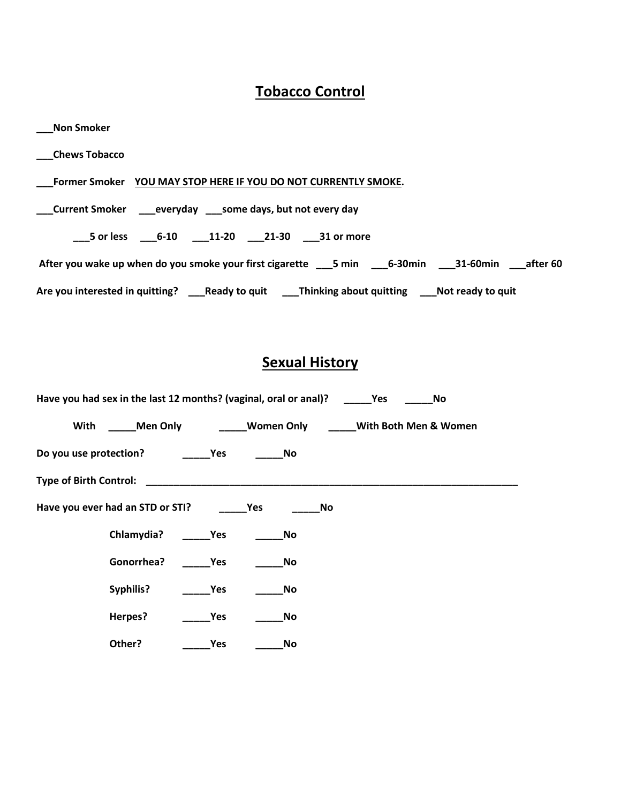## **Tobacco Control**

| Non Smoker                                                                                           |
|------------------------------------------------------------------------------------------------------|
| ___Chews Tobacco                                                                                     |
| Former Smoker YOU MAY STOP HERE IF YOU DO NOT CURRENTLY SMOKE.                                       |
| ___Current Smoker _____ everyday _____ some days, but not every day                                  |
| ___5 or less _____6-10 _____11-20 ____21-30 ____31 or more                                           |
|                                                                                                      |
| Are you interested in quitting? ____Ready to quit _____Thinking about quitting ____Not ready to quit |

## **Sexual History**

| Have you had sex in the last 12 months? (vaginal, oral or anal)? |                                                                | <b>Yes</b><br>No      |
|------------------------------------------------------------------|----------------------------------------------------------------|-----------------------|
| Men Only<br>With                                                 | Women Only                                                     | With Both Men & Women |
| Do you use protection?                                           | No<br>Yes                                                      |                       |
| Type of Birth Control:                                           | <u> 1990 - Johann John Stein, mars an de Frankryk († 1950)</u> |                       |
| Have you ever had an STD or STI?                                 | Yes                                                            | No                    |
| Chlamydia?                                                       | Yes<br>No                                                      |                       |
| Gonorrhea?                                                       | Yes<br>No                                                      |                       |
| Syphilis?                                                        | Yes<br>No                                                      |                       |
| Herpes?                                                          | Yes<br>No                                                      |                       |
| Other?                                                           | Yes<br>No                                                      |                       |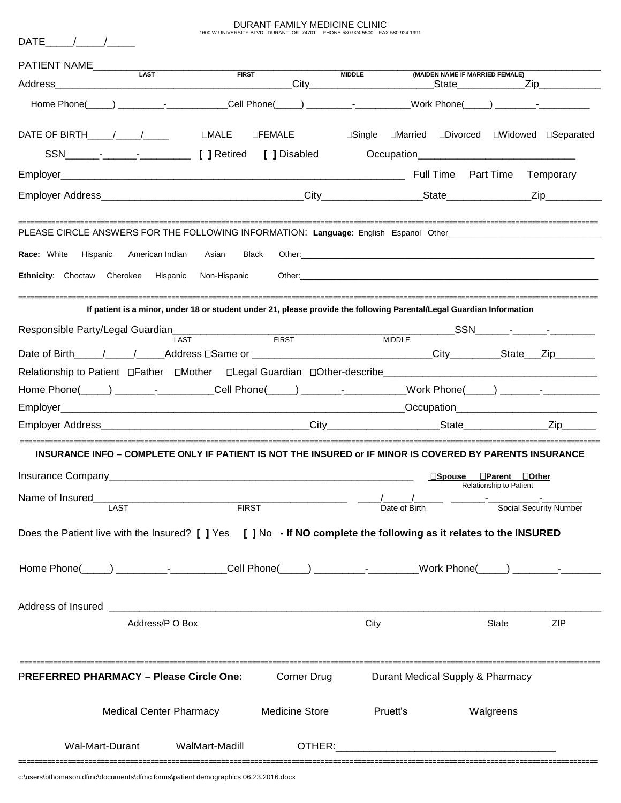DURANT FAMILY MEDICINE CLINIC 1600 W UNIVERSITY BLVD DURANT OK 74701 PHONE 580.924.5500 FAX 580.924.1991

| Address                                                                                                            |                                                                                                                       | <b>FIRST</b>   |                       | <b>MIDDLE</b> |               | (MAIDEN NAME IF MARRIED FEMALE)                       |                               |                        |
|--------------------------------------------------------------------------------------------------------------------|-----------------------------------------------------------------------------------------------------------------------|----------------|-----------------------|---------------|---------------|-------------------------------------------------------|-------------------------------|------------------------|
| Home Phone(____) _______________________Cell Phone(_____) _____________________Work Phone(_____) _____________     |                                                                                                                       |                |                       |               |               |                                                       |                               |                        |
|                                                                                                                    |                                                                                                                       |                |                       |               |               | □Single <b>■Married ■Divorced ■Widowed ■Separated</b> |                               |                        |
|                                                                                                                    |                                                                                                                       |                |                       |               |               |                                                       |                               |                        |
|                                                                                                                    |                                                                                                                       |                |                       |               |               |                                                       |                               |                        |
|                                                                                                                    |                                                                                                                       |                |                       |               |               |                                                       |                               |                        |
| PLEASE CIRCLE ANSWERS FOR THE FOLLOWING INFORMATION: Language: English Espanol Other__________________________     |                                                                                                                       |                |                       |               |               |                                                       |                               |                        |
| <b>Race:</b> White Hispanic                                                                                        | American Indian                                                                                                       | Asian<br>Black |                       |               |               |                                                       |                               |                        |
| Ethnicity: Choctaw Cherokee Hispanic Non-Hispanic                                                                  |                                                                                                                       |                |                       |               |               |                                                       |                               |                        |
|                                                                                                                    | If patient is a minor, under 18 or student under 21, please provide the following Parental/Legal Guardian Information |                |                       |               |               |                                                       |                               |                        |
|                                                                                                                    |                                                                                                                       |                |                       |               |               |                                                       |                               |                        |
|                                                                                                                    |                                                                                                                       |                |                       |               |               |                                                       |                               |                        |
|                                                                                                                    |                                                                                                                       |                |                       |               |               |                                                       |                               |                        |
|                                                                                                                    |                                                                                                                       |                |                       |               |               |                                                       |                               |                        |
|                                                                                                                    |                                                                                                                       |                |                       |               |               |                                                       |                               |                        |
|                                                                                                                    |                                                                                                                       |                |                       |               |               |                                                       |                               | Zip                    |
| INSURANCE INFO - COMPLETE ONLY IF PATIENT IS NOT THE INSURED or IF MINOR IS COVERED BY PARENTS INSURANCE           |                                                                                                                       |                |                       |               |               |                                                       |                               |                        |
|                                                                                                                    |                                                                                                                       |                |                       |               |               | $\square$ Spouse                                      | $\Box$ Parent<br>$\Box$ Other |                        |
| Name of Insured                                                                                                    | LAST                                                                                                                  | <b>FIRST</b>   |                       |               | Date of Birth |                                                       | Relationship to Patient       | Social Security Number |
| Does the Patient live with the Insured? [ ] Yes [ ] No - If NO complete the following as it relates to the INSURED |                                                                                                                       |                |                       |               |               |                                                       |                               |                        |
| Home Phone(_____) __________-__________Cell Phone(_____) _________-____Work Phone(_____) ________-____________     |                                                                                                                       |                |                       |               |               |                                                       |                               |                        |
|                                                                                                                    |                                                                                                                       |                |                       |               |               |                                                       |                               |                        |
|                                                                                                                    | Address/P O Box                                                                                                       |                |                       | City          |               |                                                       | State                         | <b>ZIP</b>             |
| <b>PREFERRED PHARMACY – Please Circle One:</b>                                                                     |                                                                                                                       |                | Corner Drug           |               |               | Durant Medical Supply & Pharmacy                      |                               |                        |
|                                                                                                                    | <b>Medical Center Pharmacy</b>                                                                                        |                | <b>Medicine Store</b> |               | Pruett's      | Walgreens                                             |                               |                        |
| Wal-Mart-Durant                                                                                                    |                                                                                                                       | WalMart-Madill | OTHER:                |               |               |                                                       |                               |                        |

**============================================================================================================================================**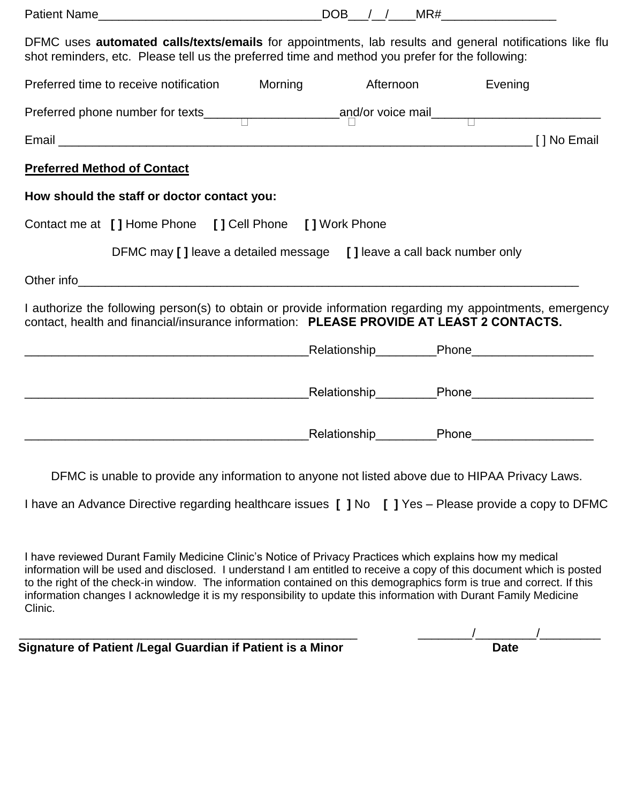|         | DFMC uses <b>automated calls/texts/emails</b> for appointments, lab results and general notifications like flu<br>shot reminders, etc. Please tell us the preferred time and method you prefer for the following:                                                                                                                                                                                                                                                               |         |           |                                                |
|---------|---------------------------------------------------------------------------------------------------------------------------------------------------------------------------------------------------------------------------------------------------------------------------------------------------------------------------------------------------------------------------------------------------------------------------------------------------------------------------------|---------|-----------|------------------------------------------------|
|         | Preferred time to receive notification                                                                                                                                                                                                                                                                                                                                                                                                                                          | Morning | Afternoon | Evening                                        |
|         |                                                                                                                                                                                                                                                                                                                                                                                                                                                                                 |         |           |                                                |
|         |                                                                                                                                                                                                                                                                                                                                                                                                                                                                                 |         |           |                                                |
|         | <b>Preferred Method of Contact</b>                                                                                                                                                                                                                                                                                                                                                                                                                                              |         |           |                                                |
|         | How should the staff or doctor contact you:                                                                                                                                                                                                                                                                                                                                                                                                                                     |         |           |                                                |
|         | Contact me at [ ] Home Phone [ ] Cell Phone [ ] Work Phone                                                                                                                                                                                                                                                                                                                                                                                                                      |         |           |                                                |
|         | DFMC may [ ] leave a detailed message [ ] leave a call back number only                                                                                                                                                                                                                                                                                                                                                                                                         |         |           |                                                |
|         | Other info                                                                                                                                                                                                                                                                                                                                                                                                                                                                      |         |           |                                                |
|         | I authorize the following person(s) to obtain or provide information regarding my appointments, emergency<br>contact, health and financial/insurance information: PLEASE PROVIDE AT LEAST 2 CONTACTS.                                                                                                                                                                                                                                                                           |         |           |                                                |
|         |                                                                                                                                                                                                                                                                                                                                                                                                                                                                                 |         |           | _Relationship_________Phone___________________ |
|         |                                                                                                                                                                                                                                                                                                                                                                                                                                                                                 |         |           | _Relationship__________Phone__________________ |
|         |                                                                                                                                                                                                                                                                                                                                                                                                                                                                                 |         |           | _Relationship__________Phone__________________ |
|         | DFMC is unable to provide any information to anyone not listed above due to HIPAA Privacy Laws.<br>I have an Advance Directive regarding healthcare issues [ ] No [ ] Yes - Please provide a copy to DFMC                                                                                                                                                                                                                                                                       |         |           |                                                |
| Clinic. | I have reviewed Durant Family Medicine Clinic's Notice of Privacy Practices which explains how my medical<br>information will be used and disclosed. I understand I am entitled to receive a copy of this document which is posted<br>to the right of the check-in window. The information contained on this demographics form is true and correct. If this<br>information changes I acknowledge it is my responsibility to update this information with Durant Family Medicine |         |           |                                                |

**Signature of Patient /Legal Guardian if Patient is a Minor Date**

\_\_\_\_\_\_\_\_\_\_\_\_\_\_\_\_\_\_\_\_\_\_\_\_\_\_\_\_\_\_\_\_\_\_\_\_\_\_\_\_\_\_\_\_\_\_\_\_\_\_ \_\_\_\_\_\_\_\_/\_\_\_\_\_\_\_\_\_/\_\_\_\_\_\_\_\_\_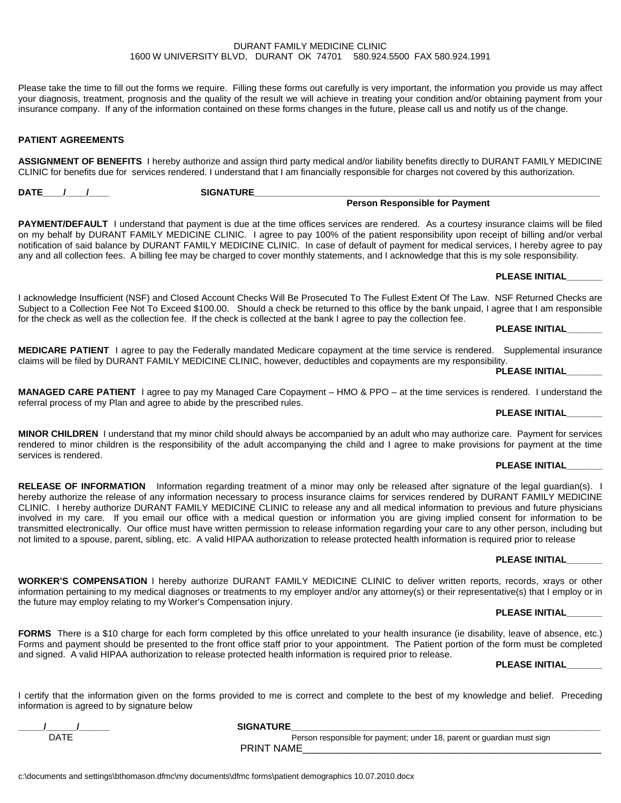#### DURANT FAMILY MEDICINE CLINIC 1600 W UNIVERSITY BLVD, DURANT OK 74701 580.924.5500 FAX 580.924.1991

Please take the time to fill out the forms we require. Filling these forms out carefully is very important, the information you provide us may affect your diagnosis, treatment, prognosis and the quality of the result we will achieve in treating your condition and/or obtaining payment from your insurance company. If any of the information contained on these forms changes in the future, please call us and notify us of the change.

#### **PATIENT AGREEMENTS**

#### **ASSIGNMENT OF BENEFITS** I hereby authorize and assign third party medical and/or liability benefits directly to DURANT FAMILY MEDICINE CLINIC for benefits due for services rendered. I understand that I am financially responsible for charges not covered by this authorization.

**DATE\_\_\_\_/\_\_\_\_/\_\_\_\_ SIGNATURE\_\_\_\_\_\_\_\_\_\_\_\_\_\_\_\_\_\_\_\_\_\_\_\_\_\_\_\_\_\_\_\_\_\_\_\_\_\_\_\_\_\_\_\_\_\_\_\_\_\_\_\_\_\_\_\_\_\_\_\_\_\_\_\_\_\_\_\_ Person Responsible for Payment**

**PAYMENT/DEFAULT** I understand that payment is due at the time offices services are rendered. As a courtesy insurance claims will be filed on my behalf by DURANT FAMILY MEDICINE CLINIC. I agree to pay 100% of the patient responsibility upon receipt of billing and/or verbal notification of said balance by DURANT FAMILY MEDICINE CLINIC. In case of default of payment for medical services, I hereby agree to pay any and all collection fees. A billing fee may be charged to cover monthly statements, and I acknowledge that this is my sole responsibility.

#### **PLEASE INITIAL\_\_\_\_\_\_\_**

I acknowledge Insufficient (NSF) and Closed Account Checks Will Be Prosecuted To The Fullest Extent Of The Law. NSF Returned Checks are Subject to a Collection Fee Not To Exceed \$100.00. Should a check be returned to this office by the bank unpaid, I agree that I am responsible for the check as well as the collection fee. If the check is collected at the bank I agree to pay the collection fee.

#### **PLEASE INITIAL\_\_\_\_\_\_\_**

**MEDICARE PATIENT** I agree to pay the Federally mandated Medicare copayment at the time service is rendered. Supplemental insurance claims will be filed by DURANT FAMILY MEDICINE CLINIC, however, deductibles and copayments are my responsibility.

**PLEASE INITIAL\_\_\_\_\_\_\_**

**MANAGED CARE PATIENT** I agree to pay my Managed Care Copayment – HMO & PPO – at the time services is rendered. I understand the referral process of my Plan and agree to abide by the prescribed rules.

#### **PLEASE INITIAL\_\_\_\_\_\_\_**

**MINOR CHILDREN** I understand that my minor child should always be accompanied by an adult who may authorize care. Payment for services rendered to minor children is the responsibility of the adult accompanying the child and I agree to make provisions for payment at the time services is rendered.

#### **PLEASE INITIAL\_\_\_\_\_\_\_**

**RELEASE OF INFORMATION** Information regarding treatment of a minor may only be released after signature of the legal guardian(s). I hereby authorize the release of any information necessary to process insurance claims for services rendered by DURANT FAMILY MEDICINE CLINIC. I hereby authorize DURANT FAMILY MEDICINE CLINIC to release any and all medical information to previous and future physicians involved in my care. If you email our office with a medical question or information you are giving implied consent for information to be transmitted electronically. Our office must have written permission to release information regarding your care to any other person, including but not limited to a spouse, parent, sibling, etc. A valid HIPAA authorization to release protected health information is required prior to release

#### **PLEASE INITIAL\_\_\_\_\_\_\_**

#### **WORKER'S COMPENSATION** I hereby authorize DURANT FAMILY MEDICINE CLINIC to deliver written reports, records, xrays or other information pertaining to my medical diagnoses or treatments to my employer and/or any attorney(s) or their representative(s) that I employ or in the future may employ relating to my Worker's Compensation injury.

#### **PLEASE INITIAL\_\_\_\_\_\_\_**

**FORMS** There is a \$10 charge for each form completed by this office unrelated to your health insurance (ie disability, leave of absence, etc.) Forms and payment should be presented to the front office staff prior to your appointment. The Patient portion of the form must be completed and signed. A valid HIPAA authorization to release protected health information is required prior to release.

#### **PLEASE INITIAL\_\_\_\_\_\_\_**

I certify that the information given on the forms provided to me is correct and complete to the best of my knowledge and belief. Preceding information is agreed to by signature below

**\_\_\_\_\_/\_\_\_\_\_\_/\_\_\_\_\_\_ SIGNATURE\_\_\_\_\_\_\_\_\_\_\_\_\_\_\_\_\_\_\_\_\_\_\_\_\_\_\_\_\_\_\_\_\_\_\_\_\_\_\_\_\_\_\_\_\_\_\_\_\_\_\_\_\_\_\_\_\_\_\_\_\_**

Person responsible for payment; under 18, parent or guardian must sign PRINT NAME\_\_\_\_\_\_\_\_\_\_\_\_\_\_\_\_\_\_\_\_\_\_\_\_\_\_\_\_\_\_\_\_\_\_\_\_\_\_\_\_\_\_\_\_\_\_\_\_\_\_\_\_\_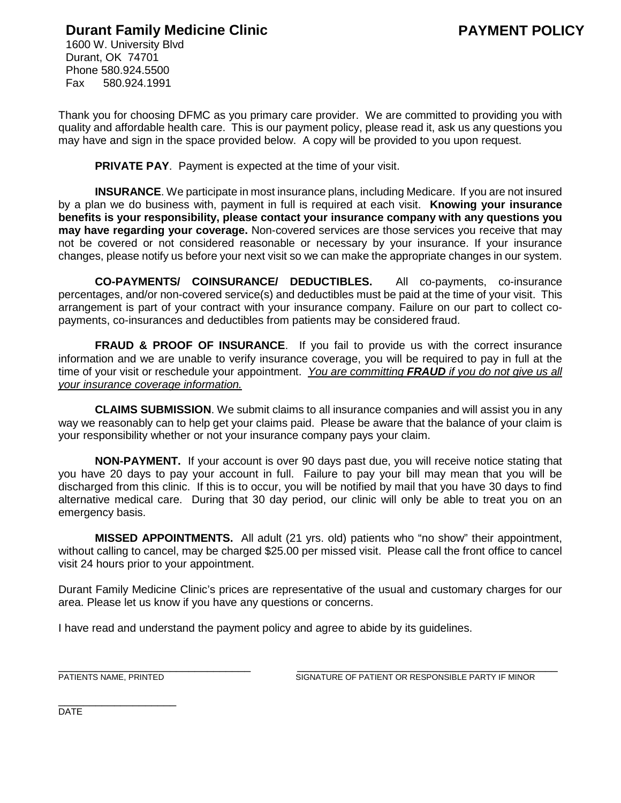## **Paramary Family Medicine Clinic**

1600 W. University Blvd Durant, OK 74701 Phone 580.924.5500 Fax 580.924.1991

Thank you for choosing DFMC as you primary care provider. We are committed to providing you with quality and affordable health care. This is our payment policy, please read it, ask us any questions you may have and sign in the space provided below. A copy will be provided to you upon request.

**PRIVATE PAY.** Payment is expected at the time of your visit.

**INSURANCE**. We participate in most insurance plans, including Medicare. If you are not insured by a plan we do business with, payment in full is required at each visit. **Knowing your insurance benefits is your responsibility, please contact your insurance company with any questions you may have regarding your coverage.** Non-covered services are those services you receive that may not be covered or not considered reasonable or necessary by your insurance. If your insurance changes, please notify us before your next visit so we can make the appropriate changes in our system.

**CO-PAYMENTS/ COINSURANCE/ DEDUCTIBLES.** All co-payments, co-insurance percentages, and/or non-covered service(s) and deductibles must be paid at the time of your visit. This arrangement is part of your contract with your insurance company. Failure on our part to collect copayments, co-insurances and deductibles from patients may be considered fraud.

**FRAUD & PROOF OF INSURANCE.** If you fail to provide us with the correct insurance information and we are unable to verify insurance coverage, you will be required to pay in full at the time of your visit or reschedule your appointment. *You are committing FRAUD if you do not give us all your insurance coverage information.* 

**CLAIMS SUBMISSION**. We submit claims to all insurance companies and will assist you in any way we reasonably can to help get your claims paid. Please be aware that the balance of your claim is your responsibility whether or not your insurance company pays your claim.

**NON-PAYMENT.** If your account is over 90 days past due, you will receive notice stating that you have 20 days to pay your account in full. Failure to pay your bill may mean that you will be discharged from this clinic. If this is to occur, you will be notified by mail that you have 30 days to find alternative medical care. During that 30 day period, our clinic will only be able to treat you on an emergency basis.

**MISSED APPOINTMENTS.** All adult (21 yrs. old) patients who "no show" their appointment, without calling to cancel, may be charged \$25.00 per missed visit. Please call the front office to cancel visit 24 hours prior to your appointment.

Durant Family Medicine Clinic's prices are representative of the usual and customary charges for our area. Please let us know if you have any questions or concerns.

I have read and understand the payment policy and agree to abide by its guidelines.

\_\_\_\_\_\_\_\_\_\_\_\_\_\_\_\_\_\_\_\_\_\_\_\_\_\_\_\_\_\_\_ \_\_\_\_\_\_\_\_\_\_\_\_\_\_\_\_\_\_\_\_\_\_\_\_\_\_\_\_\_\_\_\_\_\_\_\_\_\_\_\_\_\_ PATIENTS NAME, PRINTED SIGNATURE OF PATIENT OR RESPONSIBLE PARTY IF MINOR

\_\_\_\_\_\_\_\_\_\_\_\_\_\_\_\_\_\_\_ DATE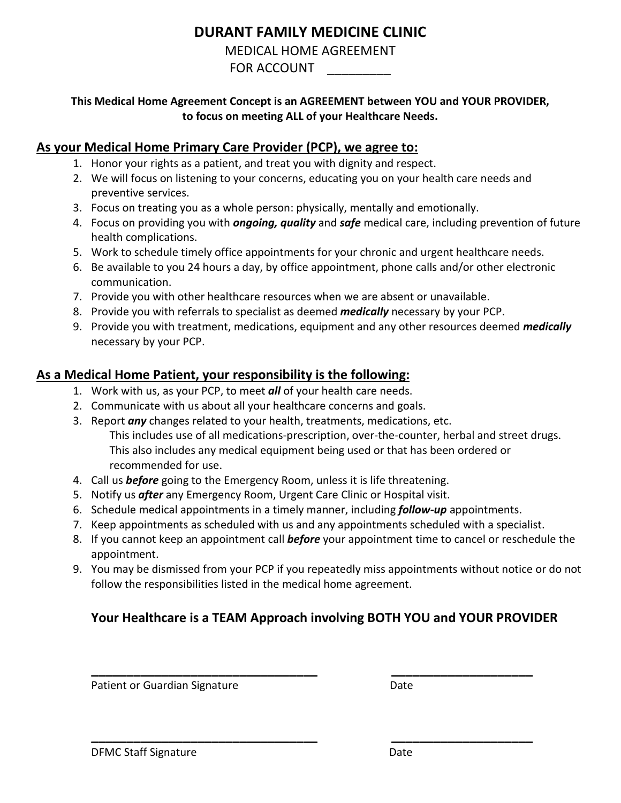## **DURANT FAMILY MEDICINE CLINIC**

MEDICAL HOME AGREEMENT

FOR ACCOUNT

## **This Medical Home Agreement Concept is an AGREEMENT between YOU and YOUR PROVIDER, to focus on meeting ALL of your Healthcare Needs.**

## **As your Medical Home Primary Care Provider (PCP), we agree to:**

- 1. Honor your rights as a patient, and treat you with dignity and respect.
- 2. We will focus on listening to your concerns, educating you on your health care needs and preventive services.
- 3. Focus on treating you as a whole person: physically, mentally and emotionally.
- 4. Focus on providing you with *ongoing, quality* and *safe* medical care, including prevention of future health complications.
- 5. Work to schedule timely office appointments for your chronic and urgent healthcare needs.
- 6. Be available to you 24 hours a day, by office appointment, phone calls and/or other electronic communication.
- 7. Provide you with other healthcare resources when we are absent or unavailable.
- 8. Provide you with referrals to specialist as deemed *medically* necessary by your PCP.
- 9. Provide you with treatment, medications, equipment and any other resources deemed *medically* necessary by your PCP.

## **As a Medical Home Patient, your responsibility is the following:**

- 1. Work with us, as your PCP, to meet *all* of your health care needs.
- 2. Communicate with us about all your healthcare concerns and goals.
- 3. Report *any* changes related to your health, treatments, medications, etc. This includes use of all medications-prescription, over-the-counter, herbal and street drugs. This also includes any medical equipment being used or that has been ordered or recommended for use.
- 4. Call us *before* going to the Emergency Room, unless it is life threatening.
- 5. Notify us *after* any Emergency Room, Urgent Care Clinic or Hospital visit.
- 6. Schedule medical appointments in a timely manner, including *follow-up* appointments.
- 7. Keep appointments as scheduled with us and any appointments scheduled with a specialist.
- 8. If you cannot keep an appointment call *before* your appointment time to cancel or reschedule the appointment.
- 9. You may be dismissed from your PCP if you repeatedly miss appointments without notice or do not follow the responsibilities listed in the medical home agreement.

## **Your Healthcare is a TEAM Approach involving BOTH YOU and YOUR PROVIDER**

**\_\_\_\_\_\_\_\_\_\_\_\_\_\_\_\_\_\_\_\_\_\_\_\_\_\_\_\_\_\_\_\_ \_\_\_\_\_\_\_\_\_\_\_\_\_\_\_\_\_\_\_\_**

**\_\_\_\_\_\_\_\_\_\_\_\_\_\_\_\_\_\_\_\_\_\_\_\_\_\_\_\_\_\_\_\_ \_\_\_\_\_\_\_\_\_\_\_\_\_\_\_\_\_\_\_\_**

Patient or Guardian Signature **Date** Date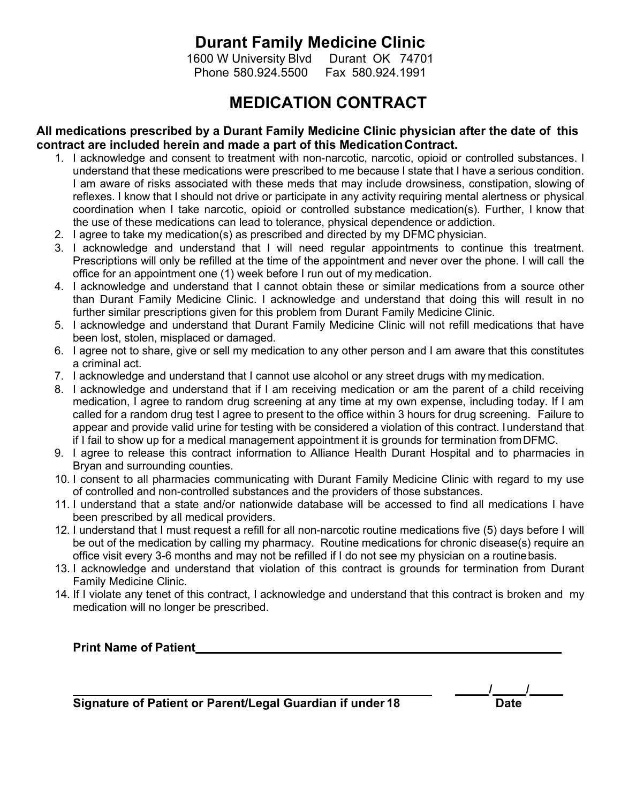## **Durant Family Medicine Clinic**

1600 W University Blvd Durant OK 74701 Phone 580.924.5500 Fax 580.924.1991

## **MEDICATION CONTRACT**

### **All medications prescribed by a Durant Family Medicine Clinic physician after the date of this contract are included herein and made a part of this MedicationContract.**

- 1. I acknowledge and consent to treatment with non-narcotic, narcotic, opioid or controlled substances. I understand that these medications were prescribed to me because I state that I have a serious condition. I am aware of risks associated with these meds that may include drowsiness, constipation, slowing of reflexes. I know that I should not drive or participate in any activity requiring mental alertness or physical coordination when I take narcotic, opioid or controlled substance medication(s). Further, I know that the use of these medications can lead to tolerance, physical dependence or addiction.
- 2. I agree to take my medication(s) as prescribed and directed by my DFMC physician.
- 3. I acknowledge and understand that I will need regular appointments to continue this treatment. Prescriptions will only be refilled at the time of the appointment and never over the phone. I will call the office for an appointment one (1) week before I run out of my medication.
- 4. I acknowledge and understand that I cannot obtain these or similar medications from a source other than Durant Family Medicine Clinic. I acknowledge and understand that doing this will result in no further similar prescriptions given for this problem from Durant Family Medicine Clinic.
- 5. I acknowledge and understand that Durant Family Medicine Clinic will not refill medications that have been lost, stolen, misplaced or damaged.
- 6. I agree not to share, give or sell my medication to any other person and I am aware that this constitutes a criminal act.
- 7. I acknowledge and understand that I cannot use alcohol or any street drugs with my medication.
- 8. I acknowledge and understand that if I am receiving medication or am the parent of a child receiving medication, I agree to random drug screening at any time at my own expense, including today. If I am called for a random drug test I agree to present to the office within 3 hours for drug screening. Failure to appear and provide valid urine for testing with be considered a violation of this contract. Iunderstand that if I fail to show up for a medical management appointment it is grounds for termination fromDFMC.
- 9. I agree to release this contract information to Alliance Health Durant Hospital and to pharmacies in Bryan and surrounding counties.
- 10. I consent to all pharmacies communicating with Durant Family Medicine Clinic with regard to my use of controlled and non-controlled substances and the providers of those substances.
- 11. I understand that a state and/or nationwide database will be accessed to find all medications I have been prescribed by all medical providers.
- 12. I understand that I must request a refill for all non-narcotic routine medications five (5) days before I will be out of the medication by calling my pharmacy. Routine medications for chronic disease(s) require an office visit every 3-6 months and may not be refilled if I do not see my physician on a routinebasis.
- 13. I acknowledge and understand that violation of this contract is grounds for termination from Durant Family Medicine Clinic.
- 14. If I violate any tenet of this contract, I acknowledge and understand that this contract is broken and my medication will no longer be prescribed.

**Print Name of Patient**

**Signature of Patient or Parent/Legal Guardian if under 18 Date**

**/ /**